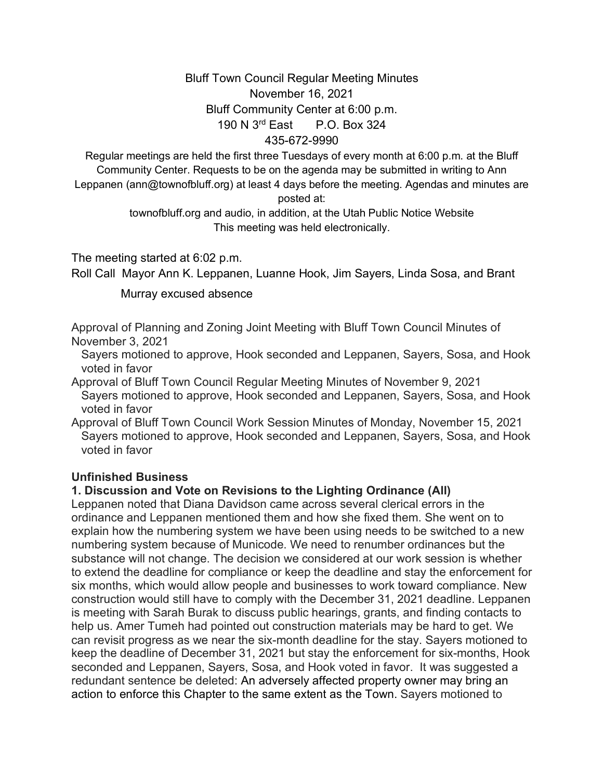# Bluff Town Council Regular Meeting Minutes November 16, 2021 Bluff Community Center at 6:00 p.m. 190 N 3rd East P.O. Box 324

435-672-9990

Regular meetings are held the first three Tuesdays of every month at 6:00 p.m. at the Bluff Community Center. Requests to be on the agenda may be submitted in writing to Ann Leppanen (ann@townofbluff.org) at least 4 days before the meeting. Agendas and minutes are posted at:

> townofbluff.org and audio, in addition, at the Utah Public Notice Website This meeting was held electronically.

The meeting started at 6:02 p.m.

Roll Call Mayor Ann K. Leppanen, Luanne Hook, Jim Sayers, Linda Sosa, and Brant

Murray excused absence

Approval of Planning and Zoning Joint Meeting with Bluff Town Council Minutes of November 3, 2021

 Sayers motioned to approve, Hook seconded and Leppanen, Sayers, Sosa, and Hook voted in favor

Approval of Bluff Town Council Regular Meeting Minutes of November 9, 2021 Sayers motioned to approve, Hook seconded and Leppanen, Sayers, Sosa, and Hook voted in favor

Approval of Bluff Town Council Work Session Minutes of Monday, November 15, 2021 Sayers motioned to approve, Hook seconded and Leppanen, Sayers, Sosa, and Hook voted in favor

#### **Unfinished Business**

### **1. Discussion and Vote on Revisions to the Lighting Ordinance (All)**

Leppanen noted that Diana Davidson came across several clerical errors in the ordinance and Leppanen mentioned them and how she fixed them. She went on to explain how the numbering system we have been using needs to be switched to a new numbering system because of Municode. We need to renumber ordinances but the substance will not change. The decision we considered at our work session is whether to extend the deadline for compliance or keep the deadline and stay the enforcement for six months, which would allow people and businesses to work toward compliance. New construction would still have to comply with the December 31, 2021 deadline. Leppanen is meeting with Sarah Burak to discuss public hearings, grants, and finding contacts to help us. Amer Tumeh had pointed out construction materials may be hard to get. We can revisit progress as we near the six-month deadline for the stay. Sayers motioned to keep the deadline of December 31, 2021 but stay the enforcement for six-months, Hook seconded and Leppanen, Sayers, Sosa, and Hook voted in favor. It was suggested a redundant sentence be deleted: An adversely affected property owner may bring an action to enforce this Chapter to the same extent as the Town. Sayers motioned to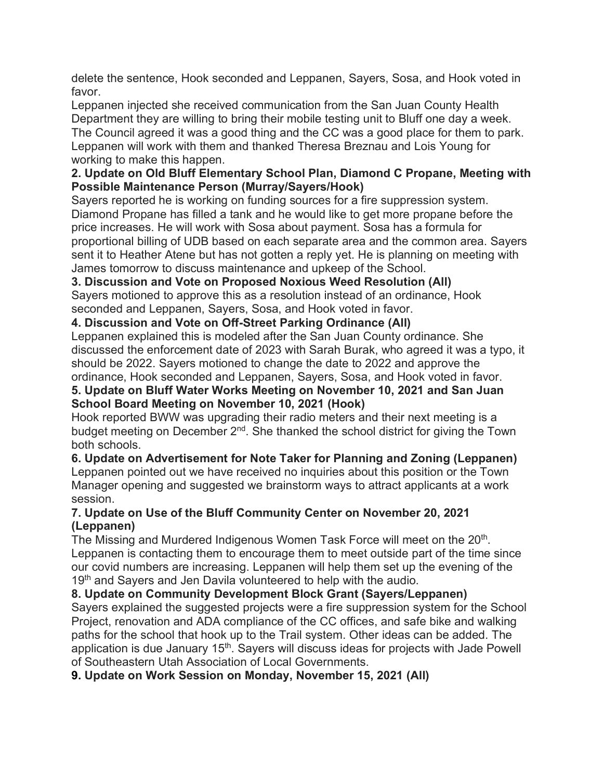delete the sentence, Hook seconded and Leppanen, Sayers, Sosa, and Hook voted in favor.

Leppanen injected she received communication from the San Juan County Health Department they are willing to bring their mobile testing unit to Bluff one day a week. The Council agreed it was a good thing and the CC was a good place for them to park. Leppanen will work with them and thanked Theresa Breznau and Lois Young for working to make this happen.

### **2. Update on Old Bluff Elementary School Plan, Diamond C Propane, Meeting with Possible Maintenance Person (Murray/Sayers/Hook)**

Sayers reported he is working on funding sources for a fire suppression system. Diamond Propane has filled a tank and he would like to get more propane before the price increases. He will work with Sosa about payment. Sosa has a formula for proportional billing of UDB based on each separate area and the common area. Sayers sent it to Heather Atene but has not gotten a reply yet. He is planning on meeting with James tomorrow to discuss maintenance and upkeep of the School.

## **3. Discussion and Vote on Proposed Noxious Weed Resolution (All)**

Sayers motioned to approve this as a resolution instead of an ordinance, Hook seconded and Leppanen, Sayers, Sosa, and Hook voted in favor.

**4. Discussion and Vote on Off-Street Parking Ordinance (All)**

Leppanen explained this is modeled after the San Juan County ordinance. She discussed the enforcement date of 2023 with Sarah Burak, who agreed it was a typo, it should be 2022. Sayers motioned to change the date to 2022 and approve the ordinance, Hook seconded and Leppanen, Sayers, Sosa, and Hook voted in favor.

### **5. Update on Bluff Water Works Meeting on November 10, 2021 and San Juan School Board Meeting on November 10, 2021 (Hook)**

Hook reported BWW was upgrading their radio meters and their next meeting is a budget meeting on December  $2^{nd}$ . She thanked the school district for giving the Town both schools.

**6. Update on Advertisement for Note Taker for Planning and Zoning (Leppanen)** Leppanen pointed out we have received no inquiries about this position or the Town Manager opening and suggested we brainstorm ways to attract applicants at a work session.

### **7. Update on Use of the Bluff Community Center on November 20, 2021 (Leppanen)**

The Missing and Murdered Indigenous Women Task Force will meet on the 20<sup>th</sup>. Leppanen is contacting them to encourage them to meet outside part of the time since our covid numbers are increasing. Leppanen will help them set up the evening of the 19<sup>th</sup> and Sayers and Jen Davila volunteered to help with the audio.

**8. Update on Community Development Block Grant (Sayers/Leppanen)** Sayers explained the suggested projects were a fire suppression system for the School Project, renovation and ADA compliance of the CC offices, and safe bike and walking paths for the school that hook up to the Trail system. Other ideas can be added. The application is due January 15<sup>th</sup>. Sayers will discuss ideas for projects with Jade Powell of Southeastern Utah Association of Local Governments.

**9. Update on Work Session on Monday, November 15, 2021 (All)**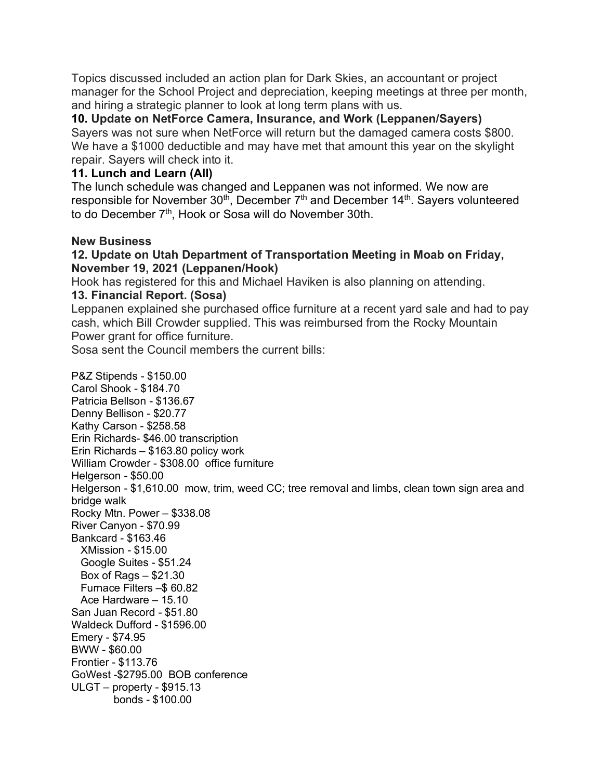Topics discussed included an action plan for Dark Skies, an accountant or project manager for the School Project and depreciation, keeping meetings at three per month, and hiring a strategic planner to look at long term plans with us.

**10. Update on NetForce Camera, Insurance, and Work (Leppanen/Sayers)** Sayers was not sure when NetForce will return but the damaged camera costs \$800. We have a \$1000 deductible and may have met that amount this year on the skylight repair. Sayers will check into it.

### **11. Lunch and Learn (All)**

The lunch schedule was changed and Leppanen was not informed. We now are responsible for November  $30<sup>th</sup>$ , December  $7<sup>th</sup>$  and December  $14<sup>th</sup>$ . Sayers volunteered to do December 7<sup>th</sup>, Hook or Sosa will do November 30th.

### **New Business**

### **12. Update on Utah Department of Transportation Meeting in Moab on Friday, November 19, 2021 (Leppanen/Hook)**

Hook has registered for this and Michael Haviken is also planning on attending. **13. Financial Report. (Sosa)**

### Leppanen explained she purchased office furniture at a recent yard sale and had to pay cash, which Bill Crowder supplied. This was reimbursed from the Rocky Mountain Power grant for office furniture.

Sosa sent the Council members the current bills:

P&Z Stipends - \$150.00 Carol Shook - \$184.70 Patricia Bellson - \$136.67 Denny Bellison - \$20.77 Kathy Carson - \$258.58 Erin Richards- \$46.00 transcription Erin Richards – \$163.80 policy work William Crowder - \$308.00 office furniture Helgerson - \$50.00 Helgerson - \$1,610.00 mow, trim, weed CC; tree removal and limbs, clean town sign area and bridge walk Rocky Mtn. Power – \$338.08 River Canyon - \$70.99 Bankcard - \$163.46 XMission - \$15.00 Google Suites - \$51.24 Box of Rags – \$21.30 Furnace Filters –\$ 60.82 Ace Hardware – 15.10 San Juan Record - \$51.80 Waldeck Dufford - \$1596.00 Emery - \$74.95 BWW - \$60.00 Frontier - \$113.76 GoWest -\$2795.00 BOB conference ULGT – property - \$915.13 bonds - \$100.00